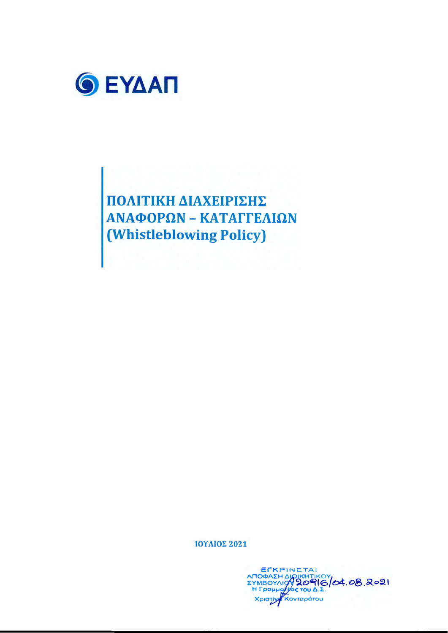

ΠΟΛΙΤΙΚΗ ΔΙΑΧΕΙΡΙΣΗΣ ΑΝΑΦΟΡΩΝ - ΚΑΤΑΓΓΕΛΙΩΝ (Whistleblowing Policy)

ΙΟΥΛΙΟΣ 2021

EFKPINETAI ATOOAZH AIOIKHTIKOY<br>EYMBOYAIOY 20916/04.08.2021 Χριστίν Κονταράτου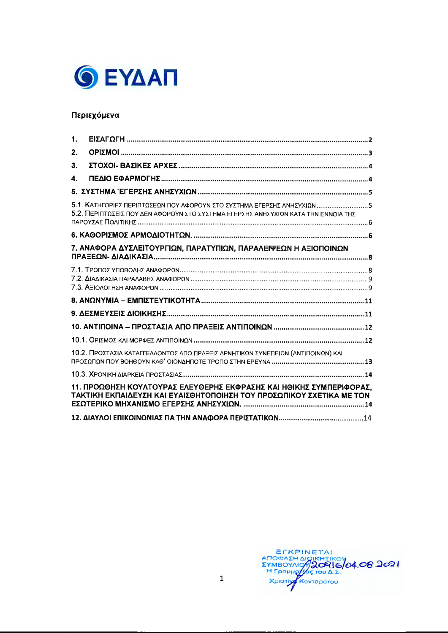

## Περιεχόμενα

| 1. |                                                                                                                                                               |  |
|----|---------------------------------------------------------------------------------------------------------------------------------------------------------------|--|
| 2. |                                                                                                                                                               |  |
| 3. |                                                                                                                                                               |  |
| 4. |                                                                                                                                                               |  |
|    |                                                                                                                                                               |  |
|    | 5.1. ΚΑΤΗΓΟΡΙΕΣ ΠΕΡΙΠΤΩΣΕΩΝ ΠΟΥ ΑΦΟΡΟΥΝ ΣΤΟ ΣΥΣΤΗΜΑ ΕΓΕΡΣΗΣ ΑΝΗΣΥΧΙΩΝ 5<br>5.2. ΠΕΡΙΠΤΩΣΕΙΣ ΠΟΥ ΔΕΝ ΑΦΟΡΟΥΝ ΣΤΟ ΣΥΣΤΗΜΑ ΕΓΕΡΣΗΣ ΑΝΗΣΥΧΙΩΝ ΚΑΤΑ ΤΗΝ ΕΝΝΟΙΑ ΤΗΣ |  |
|    |                                                                                                                                                               |  |
|    | 7. ΑΝΑΦΟΡΑ ΔΥΣΛΕΙΤΟΥΡΓΙΩΝ, ΠΑΡΑΤΥΠΙΩΝ, ΠΑΡΑΛΕΙΨΕΩΝ Η ΑΞΙΟΠΟΙΝΩΝ                                                                                               |  |
|    |                                                                                                                                                               |  |
|    |                                                                                                                                                               |  |
|    |                                                                                                                                                               |  |
|    |                                                                                                                                                               |  |
|    |                                                                                                                                                               |  |
|    | 10.2. ΠΡΟΣΤΑΣΙΑ ΚΑΤΑΓΓΕΛΛΟΝΤΟΣ ΑΠΟ ΠΡΑΞΕΙΣ ΑΡΝΗΤΙΚΩΝ ΣΥΝΕΠΕΙΩΝ (ΑΝΤΙΠΟΙΝΩΝ) ΚΑΙ                                                                               |  |
|    |                                                                                                                                                               |  |
|    | 11. ΠΡΟΩΘΗΣΗ ΚΟΥΛΤΟΥΡΑΣ ΕΛΕΥΘΕΡΗΣ ΕΚΦΡΑΣΗΣ ΚΑΙ ΗΘΙΚΗΣ ΣΥΜΠΕΡΙΦΟΡΑΣ.<br>ΤΑΚΤΙΚΗ ΕΚΠΑΙΔΕΥΣΗ ΚΑΙ ΕΥΑΙΣΘΗΤΟΠΟΙΗΣΗ ΤΟΥ ΠΡΟΣΩΠΙΚΟΥ ΣΧΕΤΙΚΑ ΜΕ ΤΟΝ                   |  |
|    |                                                                                                                                                               |  |

ETKPINETAI<br>ANOGAZH AIGIKHTIKOV<br>EYMBOYALORICOVA, OB.2021<br>H Fpapparters Tou A.2.<br>Xpiotivy Kovtapárou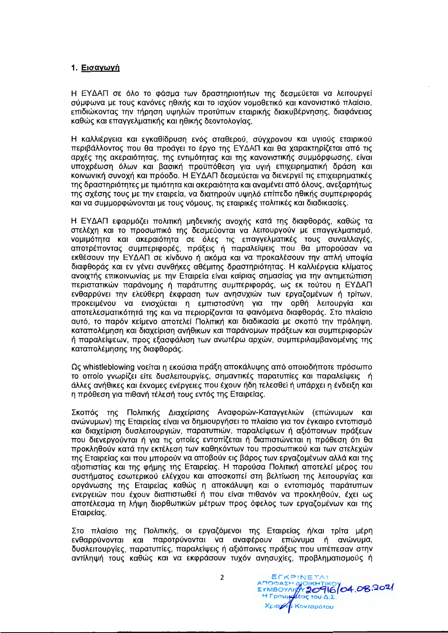#### 1. Εισαγωγή

Η ΕΥΔΑΠ σε όλο το φάσμα των δραστηριοτήτων της δεσμεύεται να λειτουργεί σύμφωνα με τους κανόνες ηθικής και το ισχύον νομοθετικό και κανονιστικό πλαίσιο. επιδιώκοντας την τήρηση υψηλών προτύπων εταιρικής διακυβέρνησης, διαφάνειας καθώς και επαννελματικής και ηθικής δεοντολονίας.

Η καλλιέρνεια και ενκαθίδρυση ενός σταθερού, σύνχρονου και υγιούς εταιρικού περιβάλλοντος που θα προάνει το έρνο της ΕΥΔΑΠ και θα χαρακτηρίζεται από τις αρχές της ακεραιότητας, της εντιμότητας και της κανονιστικής συμμόρφωσης, είναι υποχρέωση όλων και βασική προϋπόθεση για υγιή επιχειρηματική δράση και κοινωνική συνοχή και πρόοδο. Η ΕΥΔΑΠ δεσμεύεται να διενεργεί τις επιχειρηματικές της δραστηριότητες με τιμιότητα και ακεραιότητα και αναμένει από όλους, ανεξαρτήτως της σχέσης τους με την εταιρεία, να διατηρούν υψηλό επίπεδο ηθικής συμπεριφοράς και να συμμορφώνονται με τους νόμους, τις εταιρικές πολιτικές και διαδικασίες.

Η ΕΥΔΑΠ εφαρμόζει πολιτική μηδενικής ανοχής κατά της διαφθοράς, καθώς τα στελέχη και το προσωπικό της δεσμεύονται να λειτουργούν με επαγγελματισμό, νομιμότητα και ακεραιότητα σε όλες τις επαγγελματικές τους συναλλαγές, αποτρέποντας συμπεριφορές, πράξεις ή παραλείψεις που θα μπορούσαν να εκθέσουν την ΕΥΔΑΠ σε κίνδυνο ή ακόμα και να προκαλέσουν την απλή υποψία διαφθοράς και εν γένει συνθήκες αθέμιτης δραστηριότητας. Η καλλιέργεια κλίματος ανοιχτής επικοινωνίας με την Εταιρεία είναι καίριας σημασίας για την αντιμετώπιση περιστατικών παράνομης ή παράτυπης συμπεριφοράς, ως εκ τούτου η ΕΥΔΑΠ ενθαρρύνει την ελεύθερη έκφραση των ανησυχιών των εργαζομένων ή τρίτων, προκειμένου να ενισχύεται η εμπιστοσύνη για την ορθή λειτουργία και αποτελεσματικότητά της και να περιορίζονται τα φαινόμενα διαφθοράς. Στο πλαίσιο αυτό, το παρόν κείμενο αποτελεί Πολιτική και διαδικασία με σκοπό την πρόληψη, καταπολέμηση και διαχείριση ανήθικων και παράνομων πράξεων και συμπεριφορών ή παραλείψεων, προς εξασφάλιση των ανωτέρω αρχών, συμπεριλαμβανομένης της καταπολέμησης της διαφθοράς.

Ως whistleblowing νοείται η εκούσια πράξη αποκάλυψης από οποιοδήποτε πρόσωπο το οποίο γνωρίζει είτε δυσλειτουργίες, σημαντικές παρατυπίες και παραλείψεις ή άλλες ανήθικες και έκνομες ενέργειες που έχουν ήδη τελεσθεί ή υπάρχει η ένδειξη και η πρόθεση για πιθανή τέλεσή τους εντός της Εταιρείας.

Σκοπός της Πολιτικής Διαχείρισης Αναφορών-Καταγγελιών (επώνυμων και ανώνυμων) της Εταιρείας είναι να δημιουργήσει το πλαίσιο για τον έγκαιρο εντοπισμό και διαχείριση δυσλειτουργιών, παρατυπιών, παραλείψεων ή αξιόποινων πράξεων που διενεργούνται ή για τις οποίες εντοπίζεται ή διαπιστώνεται η πρόθεση ότι θα προκληθούν κατά την εκτέλεση των καθηκόντων του προσωπικού και των στελεχών της Εταιρείας και που μπορούν να αποβούν εις βάρος των εργαζομένων αλλά και της αξιοπιστίας και της φήμης της Εταιρείας. Η παρούσα Πολιτική αποτελεί μέρος του συστήματος εσωτερικού ελέγχου και αποσκοπεί στη βελτίωση της λειτουργίας και οργάνωσης της Εταιρείας καθώς η αποκάλυψη και ο εντοπισμός παράτυπων ενεργειών που έχουν διαπιστωθεί ή που είναι πιθανόν να προκληθούν, έχει ως αποτέλεσμα τη λήψη διορθωτικών μέτρων προς όφελος των εργαζομένων και της Εταιρείας.

Στο πλαίσιο της Πολιτικής, οι εργαζόμενοι της Εταιρείας ή/και τρίτα μέρη ενθαρρύνονται και παροτρύνονται να αναφέρουν επώνυμα ή ανώνυμα, δυσλειτουργίες, παρατυπίες, παραλείψεις ή αξιόποινες πράξεις που υπέπεσαν στην αντίληψή τους καθώς και να εκφράσουν τυχόν ανησυχίες, προβληματισμούς ή

EFKPINETAI ANOBAZH AJOIKHTIKOV 04.08.2021 Χρισχή: Κονταράτου

 $\overline{2}$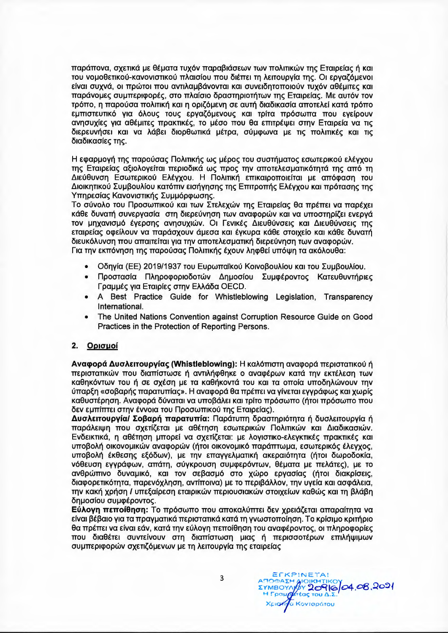παράπονα, σχετικά με θέματα τυχόν παραβιάσεων των πολιτικών της Εταιρείας ή και του νομοθετικού-κανονιστικού πλαισίου που διέπει τη λειτουργία της. Οι εργαζόμενοι είναι συχνά, οι πρώτοι που αντιλαμβάνονται και συνειδητοποιούν τυχόν αθέμιτες και παράνομες συμπεριφορές, στο πλαίσιο δραστηριοτήτων της Εταιρείας. Με αυτόν τον τρόπο, η παρούσα πολιτική και η οριζόμενη σε αυτή διαδικασία αποτελεί κατά τρόπο εμπιστευτικό για όλους τους εργαζόμενους και τρίτα πρόσωπα που ενείρουν ανησυχίες για αθέμιτες πρακτικές, το μέσο που θα επιτρέψει στην Εταιρεία να τις διερευνήσει και να λάβει διορθωτικά μέτρα, σύμφωνα με τις πολιτικές και τις διαδικασίες της.

Η εφαρμογή της παρούσας Πολιτικής ως μέρος του συστήματος εσωτερικού ελέγχου της Εταιρείας αξιολογείται περιοδικά ως προς την αποτελεσματικότητά της από τη Διεύθυνση Εσωτερικού Ελέγχου. Η Πολιτική επικαιροποιείται με απόφαση του Διοικητικού Συμβουλίου κατόπιν εισήγησης της Επιτροπής Ελέγχου και πρότασης της Υπηρεσίας Κανονιστικής Συμμόρφωσης.

Το σύνολο του Προσωπικού και των Στελεχών της Εταιρείας θα πρέπει να παρέχει κάθε δυνατή συνεργασία στη διερεύνηση των αναφορών και να υποστηρίζει ενεργά τον μηχανισμό έγερσης ανησυχιών. Οι Γενικές Διευθύνσεις και Διευθύνσεις της εταιρείας οφείλουν να παράσχουν άμεσα και έγκυρα κάθε στοιχείο και κάθε δυνατή διευκόλυνση που απαιτείται για την αποτελεσματική διερεύνηση των αναφορών. Για την εκπόνηση της παρούσας Πολιτικής έχουν ληφθεί υπόψη τα ακόλουθα:

- Οδηγία (ΕΕ) 2019/1937 του Ευρωπαϊκού Κοινοβουλίου και του Συμβουλίου.
- Προστασία Πληροφοριοδοτών Δημοσίου Συμφέροντος Κατευθυντήριες Γραμμές για Εταιρίες στην Ελλάδα ΟΕCD.
- A Best Practice Guide for Whistleblowing Legislation, Transparency International.
- The United Nations Convention against Corruption Resource Guide on Good Practices in the Protection of Reporting Persons.

#### 2. Ορισμοί

Αναφορά Δυσλειτουργίας (Whistleblowing): Η καλόπιστη αναφορά περιστατικού ή περιστατικών που διαπίστωσε ή αντιλήφθηκε ο αναφέρων κατά την εκτέλεση των καθηκόντων του ή σε σχέση με τα καθήκοντά του και τα οποία υποδηλώνουν την ύπαρξη «σοβαρής παρατυπίας». Η αναφορά θα πρέπει να γίνεται εγγράφως και χωρίς καθυστέρηση. Αναφορά δύναται να υποβάλει και τρίτο πρόσωπο (ήτοι πρόσωπο που δεν εμπίπτει στην έννοια του Προσωπικού της Εταιρείας).

Δυσλειτουργία/ Σοβαρή παρατυπία: Παράτυπη δραστηριότητα ή δυσλειτουργία ή παράλειψη που σχετίζεται με αθέτηση εσωτερικών Πολιτικών και Διαδικασιών. Ενδεικτικά, η αθέτηση μπορεί να σχετίζεται: με λογιστικο-ελεγκτικές πρακτικές και υποβολή οικονομικών αναφορών (ήτοι οικονομικό παράπτωμα, εσωτερικός έλεγχος, υποβολή έκθεσης εξόδων), με την επαγγελματική ακεραιότητα (ήτοι δωροδοκία, νόθευση εγγράφων, απάτη, σύγκρουση συμφερόντων, θέματα με πελάτες), με το ανθρώπινο δυναμικό, και τον σεβασμό στο χώρο εργασίας (ήτοι διακρίσεις, διαφορετικότητα, παρενόχληση, αντίποινα) με το περιβάλλον, την υγεία και ασφάλεια, την κακή χρήση / υπεξαίρεση εταιρικών περιουσιακών στοιχείων καθώς και τη βλάβη δημοσίου συμφέροντος.

Εύλογη πεποίθηση: Το πρόσωπο που αποκαλύπτει δεν χρειάζεται απαραίτητα να είναι βέβαιο για τα πραγματικά περιστατικά κατά τη γνωστοποίηση. Το κρίσιμο κριτήριο θα πρέπει να είναι εάν, κατά την εύλογη πεποίθηση του αναφέροντος, οι πληροφορίες που διαθέτει συντείνουν στη διαπίστωση μιας ή περισσοτέρων επιλήψιμων συμπεριφορών σχετιζόμενων με τη λειτουργία της εταιρείας

**EFKPINETAL** ANOBAZH AIOIKHTIKOY<br>EYMBOYAYAY 20916/04.08.2021 Χρισήζα Κονταράτου

3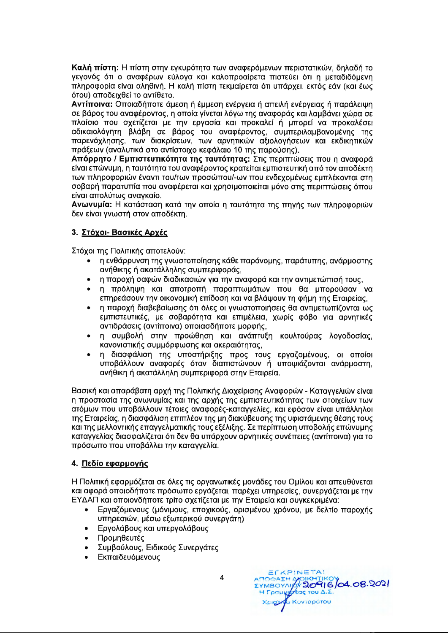Καλή πίστη: Η πίστη στην εγκυρότητα των αναφερόμενων περιστατικών, δηλαδή το γεγονός ότι ο αναφέρων εύλογα και καλοπροαίρετα πιστεύει ότι η μεταδιδόμενη πληροφορία είναι αληθινή. Η καλή πίστη τεκμαίρεται ότι υπάρχει, εκτός εάν (και έως ότου) αποδειχθεί το αντίθετο.

Αντίποινα: Οποιαδήποτε άμεση ή έμμεση ενέργεια ή απειλή ενέργειας ή παράλειψη σε βάρος του αναφέροντος, η οποία γίνεται λόγω της αναφοράς και λαμβάνει χώρα σε πλαίσιο που σχετίζεται με την εργασία και προκαλεί ή μπορεί να προκαλέσει αδικαιολόγητη βλάβη σε βάρος του αναφέροντος, συμπεριλαμβανομένης της παρενόχλησης, των διακρίσεων, των αρνητικών αξιολογήσεων και εκδικητικών πράξεων (αναλυτικά στο αντίστοιχο κεφάλαιο 10 της παρούσης).

Απόρρητο / Εμπιστευτικότητα της ταυτότητας: Στις περιπτώσεις που η αναφορά είναι επώνυμη, η ταυτότητα του αναφέροντος κρατείται εμπιστευτική από τον αποδέκτη των πληροφοριών έναντι του/των προσώπου/-ων που ενδεχομένως εμπλέκονται στη σοβαρή παρατυπία που αναφέρεται και χρησιμοποιείται μόνο στις περιπτώσεις όπου είναι απολύτως αναγκαίο.

Ανωνυμία: Η κατάσταση κατά την οποία η ταυτότητα της πηγής των πληροφοριών δεν είναι γνωστή στον αποδέκτη.

## 3. Στόχοι- Βασικές Αρχές

Στόχοι της Πολιτικής αποτελούν:

- η ενθάρρυνση της γνωστοποίησης κάθε παράνομης, παράτυπης, ανάρμοστης ανήθικης ή ακατάλληλης συμπεριφοράς,
- η παροχή σαφών διαδικασιών για την αναφορά και την αντιμετώπισή τους,  $\bullet$
- η πρόληψη και αποτροπή παραπτωμάτων που θα μπορούσαν να  $\bullet$ επηρεάσουν την οικονομική επίδοση και να βλάψουν τη φήμη της Εταιρείας,
- η παροχή διαβεβαίωσης ότι όλες οι γνωστοποιήσεις θα αντιμετωπίζονται ως  $\bullet$ εμπιστευτικές, με σοβαρότητα και επιμέλεια, χωρίς φόβο για αρνητικές αντιδράσεις (αντίποινα) οποιασδήποτε μορφής,
- η συμβολή στην προώθηση και ανάπτυξη κουλτούρας λογοδοσίας, κανονιστικής συμμόρφωσης και ακεραιότητας,
- η διασφάλιση της υποστήριξης προς τους εργαζομένους, οι οποίοι υποβάλλουν αναφορές όταν διαπιστώνουν ή υποψιάζονται ανάρμοστη, ανήθικη ή ακατάλληλη συμπεριφορά στην Εταιρεία.

Βασική και απαράβατη αρχή της Πολιτικής Διαχείρισης Αναφορών - Καταγγελιών είναι η προστασία της ανωνυμίας και της αρχής της εμπιστευτικότητας των στοιχείων των ατόμων που υποβάλλουν τέτοιες αναφορές-καταγγελίες, και εφόσον είναι υπάλληλοι της Εταιρείας, η διασφάλιση επιπλέον της μη διακύβευσης της υφιστάμενης θέσης τους και της μελλοντικής επαγγελματικής τους εξέλιξης. Σε περίπτωση υποβολής επώνυμης καταγγελίας διασφαλίζεται ότι δεν θα υπάρχουν αρνητικές συνέπειες (αντίποινα) για το πρόσωπο που υποβάλλει την καταγγελία.

# 4. Πεδίο εφαρμογής

Η Πολιτική εφαρμόζεται σε όλες τις οργανωτικές μονάδες του Ομίλου και απευθύνεται και αφορά οποιοδήποτε πρόσωπο εργάζεται, παρέχει υπηρεσίες, συνεργάζεται με την ΕΥΔΑΠ και οποιονδήποτε τρίτο σχετίζεται με την Εταιρεία και συγκεκριμένα:

- Εργαζόμενους (μόνιμους, εποχικούς, ορισμένου χρόνου, με δελτίο παροχής υπηρεσιών, μέσω εξωτερικού συνεργάτη)
- Εργολάβους και υπεργολάβους
- Προμηθευτές
- Συμβούλους, Ειδικούς Συνεργάτες
- Εκπαιδευόμενους

EFKPINETA! ATTORAZH MOIKHTIKOV<br>EYMBOYALD 20916/04.08.2021 Χριστιβα Κονταράτου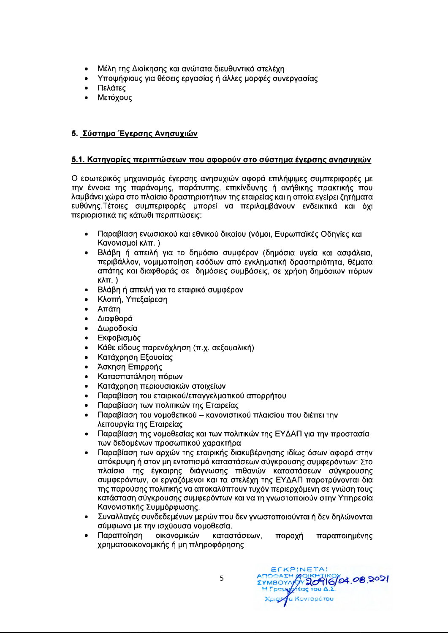- Μέλη της Διοίκησης και ανώτατα διευθυντικά στελέχη
- Υποψήφιους για θέσεις εργασίας ή άλλες μορφές συνεργασίας
- Πελάτες
- Μετόχους

## 5. Σύστημα Έγερσης Ανησυχιών

## <u>5.1. Κατηγορίες περιπτώσεων που αφορούν στο σύστημα έγερσης ανησυχιών</u>

Ο εσωτερικός μηχανισμός έγερσης ανησυχιών αφορά επιλήψιμες συμπεριφορές με την έννοια της παράνομης, παράτυπης, επικίνδυνης ή ανήθικης πρακτικής που λαμβάνει χώρα στο πλαίσιο δραστηριοτήτων της εταιρείας και η οποία εγείρει ζητήματα ευθύνης. Τέτοιες συμπεριφορές μπορεί να περιλαμβάνουν ενδεικτικά και όχι περιοριστικά τις κάτωθι περιπτώσεις:

- Παραβίαση ενωσιακού και εθνικού δικαίου (νόμοι, Ευρωπαϊκές Οδηγίες και Κανονισμοί κλπ.)
- Βλάβη ή απειλή για το δημόσιο συμφέρον (δημόσια υγεία και ασφάλεια, περιβάλλον, νομιμοποίηση εσόδων από εγκληματική δραστηριότητα, θέματα απάτης και διαφθοράς σε δημόσιες συμβάσεις, σε χρήση δημόσιων πόρων  $K\lambda\pi$ .)
- Βλάβη ή απειλή για το εταιρικό συμφέρον
- Κλοπή, Υπεξαίρεση
- Απάτη
- Διαφθορά
- Δωροδοκία
- Εκφοβισμός
- Κάθε είδους παρενόχληση (π.χ. σεξουαλική)
- Κατάχρηση Εξουσίας
- Άσκηση Επιρροής
- Κατασπατάληση πόρων  $\bullet$
- Κατάχρηση περιουσιακών στοιχείων
- Παραβίαση του εταιρικού/επαγγελματικού απορρήτου
- Παραβίαση των πολιτικών της Εταιρείας
- Παραβίαση του νομοθετικού κανονιστικού πλαισίου που διέπει την λειτουργία της Εταιρείας
- Παραβίαση της νομοθεσίας και των πολιτικών της ΕΥΔΑΠ για την προστασία των δεδομένων προσωπικού χαρακτήρα
- Παραβίαση των αρχών της εταιρικής διακυβέρνησης ιδίως όσων αφορά στην απόκρυψη ή στον μη εντοπισμό καταστάσεων σύγκρουσης συμφερόντων: Στο πλαίσιο της έγκαιρης διάγνωσης πιθανών καταστάσεων σύγκρουσης συμφερόντων, οι εργαζόμενοι και τα στελέχη της ΕΥΔΑΠ παροτρύνονται δια της παρούσης πολιτικής να αποκαλύπτουν τυχόν περιερχόμενη σε γνώση τους κατάσταση σύγκρουσης συμφερόντων και να τη γνωστοποιούν στην Υπηρεσία Κανονιστικής Συμμόρφωσης.
- Συναλλαγές συνδεδεμένων μερών που δεν γνωστοποιούνται ή δεν δηλώνονται σύμφωνα με την ισχύουσα νομοθεσία.
- Παραποίηση οικονομικών καταστάσεων, παροχή παραποιημένης χρηματοοικονομικής ή μη πληροφόρησης

EFKPINETA! ATIOOAEH MOIKHTIKOY<br>EYMBOYAYY **20916/04.08.2021**<br>H Fpouyy/sag tou A.E. **gyfu Κονταράτου**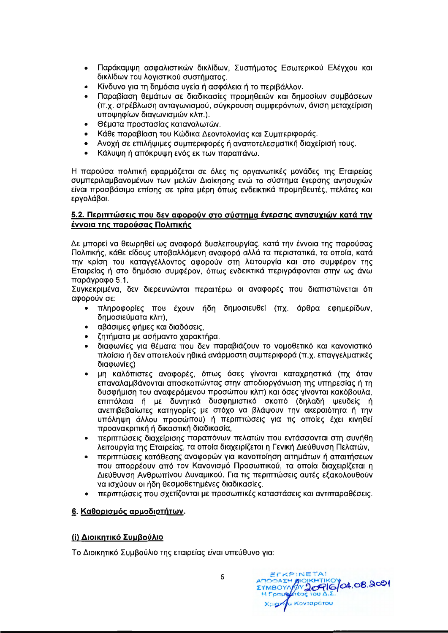- Παράκαμψη ασφαλιστικών δικλίδων, Συστήματος Εσωτερικού Ελέγχου και δικλίδων του λογιστικού συστήματος.
- Κίνδυνο για τη δημόσια υγεία ή ασφάλεια ή το περιβάλλον.
- Παραβίαση θεμάτων σε διαδικασίες προμηθειών και δημοσίων συμβάσεων (π.χ. στρέβλωση ανταγωνισμού, σύγκρουση συμφερόντων, άνιση μεταχείριση υποψηφίων διαγωνισμών κλπ.).
- Θέματα προστασίας καταναλωτών.
- Κάθε παραβίαση του Κώδικα Δεοντολογίας και Συμπεριφοράς.
- · Ανοχή σε επιλήψιμες συμπεριφορές ή αναποτελεσματική διαχείρισή τους.
- · Κάλυψη ή απόκρυψη ενός εκ των παραπάνω.

Η παρούσα πολιτική εφαρμόζεται σε όλες τις οργανωτικές μονάδες της Εταιρείας συμπεριλαμβανομένων των μελών Διοίκησης ενώ το σύστημα έγερσης ανησυχιών είναι προσβάσιμο επίσης σε τρίτα μέρη όπως ενδεικτικά προμηθευτές, πελάτες και εργολάβοι.

## 5.2. Περιπτώσεις που δεν αφορούν στο σύστημα έγερσης ανησυχιών κατά την έννοια της παρούσας Πολιτικής

Δε μπορεί να θεωρηθεί ως αναφορά δυσλειτουργίας, κατά την έννοια της παρούσας Πολιτικής, κάθε είδους υποβαλλόμενη αναφορά αλλά τα περιστατικά, τα οποία, κατά την κρίση του καταγγέλλοντος αφορούν στη λειτουργία και στο συμφέρον της Εταιρείας ή στο δημόσιο συμφέρον, όπως ενδεικτικά περιγράφονται στην ως άνω παράγραφο 5.1.

Συγκεκριμένα, δεν διερευνώνται περαιτέρω οι αναφορές που διαπιστώνεται ότι αφορούν σε:

- πληροφορίες που έχουν ήδη δημοσιευθεί (πχ. άρθρα εφημερίδων, δημοσιεύματα κλπ),
- αβάσιμες φήμες και διαδόσεις,
- ζητήματα με ασήμαντο χαρακτήρα,
- διαφωνίες για θέματα που δεν παραβιάζουν το νομοθετικό και κανονιστικό πλαίσιο ή δεν αποτελούν ηθικά ανάρμοστη συμπεριφορά (π.χ. επαγγελματικές διαφωνίες)
- μη καλόπιστες αναφορές, όπως όσες γίνονται καταχρηστικά (πχ όταν επαναλαμβάνονται αποσκοπώντας στην αποδιοργάνωση της υπηρεσίας ή τη δυσφήμιση του αναφερόμενου προσώπου κλπ) και όσες γίνονται κακόβουλα, επιπόλαια ή με δυνητικά δυσφημιστικό σκοπό (δηλαδή ψευδείς ή ανεπιβεβαίωτες κατηγορίες με στόχο να βλάψουν την ακεραιότητα ή την υπόληψη άλλου προσώπου) ή περιπτώσεις για τις οποίες έχει κινηθεί προανακριτική ή δικαστική διαδικασία,
- · περιπτώσεις διαχείρισης παραπόνων πελατών που εντάσσονται στη συνήθη λειτουργία της Εταιρείας, τα οποία διαχειρίζεται η Γενική Διεύθυνση Πελατών,
- περιπτώσεις κατάθεσης αναφορών για ικανοποίηση αιτημάτων ή απαιτήσεων που απορρέουν από τον Κανονισμό Προσωπικού, τα οποία διαχειρίζεται η Διεύθυνση Ανθρωπίνου Δυναμικού. Για τις περιπτώσεις αυτές εξακολουθούν να ισχύουν οι ήδη θεσμοθετημένες διαδικασίες.
- περιπτώσεις που σχετίζονται με προσωπικές καταστάσεις και αντιπαραθέσεις.

# 6. Καθορισμός αρμοδιοτήτων.

# (i) Διοικητικό Συμβούλιο

Το Διοικητικό Συμβούλιο της εταιρείας είναι υπεύθυνο για:

ECKPINETA! AIOIKHTIKO 64.08.2021 AMOMAZH **ΣΥΜΒΟΥΛ** H Foaug υστ α Κονταράτου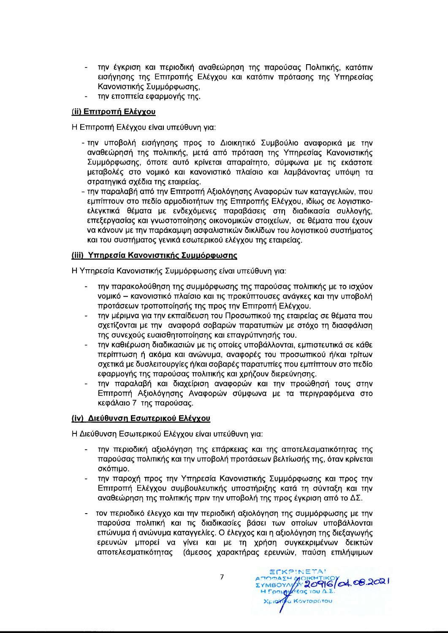- την έγκριση και περιοδική αναθεώρηση της παρούσας Πολιτικής, κατόπιν εισήγησης της Επιτροπής Ελέγχου και κατόπιν πρότασης της Υπηρεσίας Κανονιστικής Συμμόρφωσης,
- την εποπτεία εφαρμογής της.

## (ii) Επιτροπή Ελέγχου

Η Επιτροπή Ελέγχου είναι υπεύθυνη για:

- την υποβολή εισήγησης προς το Διοικητικό Συμβούλιο αναφορικά με την αναθεώρησή της πολιτικής, μετά από πρόταση της Υπηρεσίας Κανονιστικής Συμμόρφωσης, όποτε αυτό κρίνεται απαραίτητο, σύμφωνα με τις εκάστοτε μεταβολές στο νομικό και κανονιστικό πλαίσιο και λαμβάνοντας υπόψη τα στρατηγικά σχέδια της εταιρείας.
- την παραλαβή από την Επιτροπή Αξιολόγησης Αναφορών των καταγγελιών, που εμπίπτουν στο πεδίο αρμοδιοτήτων της Επιτροπής Ελέγχου, ιδίως σε λογιστικοελεγκτικά θέματα με ενδεχόμενες παραβάσεις στη διαδικασία συλλογής, επεξεργασίας και γνωστοποίησης οικονομικών στοιχείων, σε θέματα που έχουν να κάνουν με την παράκαμψη ασφαλιστικών δικλίδων του λογιστικού συστήματος και του συστήματος γενικά εσωτερικού ελέγχου της εταιρείας.

## (iii) Υπηρεσία Κανονιστικής Συμμόρφωσης

Η Υπηρεσία Κανονιστικής Συμμόρφωσης είναι υπεύθυνη για:

- την παρακολούθηση της συμμόρφωσης της παρούσας πολιτικής με το ισχύον νομικό - κανονιστικό πλαίσιο και τις προκύπτουσες ανάγκες και την υποβολή προτάσεων τροποποίησής της προς την Επιτροπή Ελέγχου.
- την μέριμνα για την εκπαίδευση του Προσωπικού της εταιρείας σε θέματα που σχετίζονται με την αναφορά σοβαρών παρατυπιών με στόχο τη διασφάλιση της συνεχούς ευαισθητοποίησης και επαγρύπνησής του.
- την καθιέρωση διαδικασιών με τις οποίες υποβάλλονται, εμπιστευτικά σε κάθε περίπτωση ή ακόμα και ανώνυμα, αναφορές του προσωπικού ή/και τρίτων σχετικά με δυσλειτουργίες ή/και σοβαρές παρατυπίες που εμπίπτουν στο πεδίο εφαρμογής της παρούσας πολιτικής και χρήζουν διερεύνησης.
- την παραλαβή και διαχείριση αναφορών και την προώθησή τους στην Επιτροπή Αξιολόγησης Αναφορών σύμφωνα με τα περιγραφόμενα στο κεφάλαιο 7 της παρούσας.

# (iv) Διεύθυνση Εσωτερικού Ελέγχου

Η Διεύθυνση Εσωτερικού Ελέγχου είναι υπεύθυνη για:

- την περιοδική αξιολόγηση της επάρκειας και της αποτελεσματικότητας της παρούσας πολιτικής και την υποβολή προτάσεων βελτίωσής της, όταν κρίνεται σκόπιμο.
- την παροχή προς την Υπηρεσία Κανονιστικής Συμμόρφωσης και προς την Επιτροπή Ελέγχου συμβουλευτικής υποστήριξης κατά τη σύνταξη και την αναθεώρηση της πολιτικής πριν την υποβολή της προς έγκριση από το ΔΣ.
- τον περιοδικό έλεγχο και την περιοδική αξιολόγηση της συμμόρφωσης με την παρούσα πολιτική και τις διαδικασίες βάσει των οποίων υποβάλλονται επώνυμα ή ανώνυμα καταγγελίες. Ο έλεγχος και η αξιολόγηση της διεξαγωγής ερευνών μπορεί να γίνει και με τη χρήση συγκεκριμένων δεικτών αποτελεσματικότητας (άμεσος χαρακτήρας ερευνών, παύση επιλήψιμων

ECKPINETA! A 2096 04.08.2021 *EYMBOYAY <u>Λέας του Δ.Σ</u>* I Foardy α Κονταράτου

7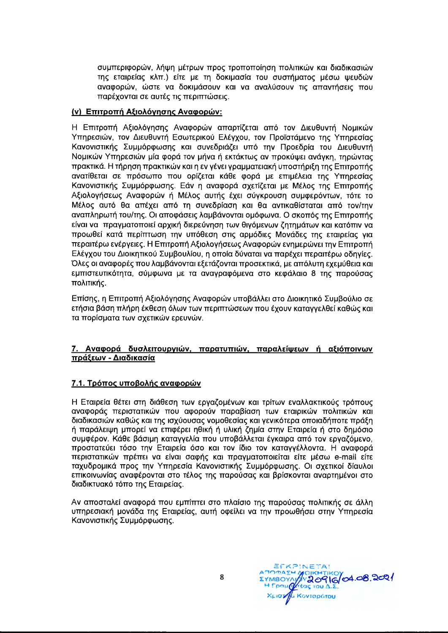συμπεριφορών, λήψη μέτρων προς τροποποίηση πολιτικών και διαδικασιών της εταιρείας κλπ.) είτε με τη δοκιμασία του συστήματος μέσω ψευδών αναφορών, ώστε να δοκιμάσουν και να αναλύσουν τις απαντήσεις που παρέχονται σε αυτές τις περιπτώσεις.

## (ν) Επιτροπή Αξιολόγησης Αναφορών:

Η Επιτροπή Αξιολόγησης Αναφορών απαρτίζεται από τον Διευθυντή Νομικών Υπηρεσιών, τον Διευθυντή Εσωτερικού Ελέγχου, τον Προϊστάμενο της Υπηρεσίας Κανονιστικής Συμμόρφωσης και συνεδριάζει υπό την Προεδρία του Διευθυντή Νομικών Υπηρεσιών μία φορά τον μήνα ή εκτάκτως αν προκύψει ανάγκη, τηρώντας πρακτικά. Η τήρηση πρακτικών και η εν γένει γραμματειακή υποστήριξη της Επιτροπής ανατίθεται σε πρόσωπο που ορίζεται κάθε φορά με επιμέλεια της Υπηρεσίας Κανονιστικής Συμμόρφωσης. Εάν η αναφορά σχετίζεται με Μέλος της Επιτροπής Αξιολογήσεως Αναφορών ή Μέλος αυτής έχει σύγκρουση συμφερόντων, τότε το Μέλος αυτό θα απέχει από τη συνεδρίαση και θα αντικαθίσταται από τον/την αναπληρωτή του/της. Οι αποφάσεις λαμβάνονται ομόφωνα. Ο σκοπός της Επιτροπής είναι να πραγματοποιεί αρχική διερεύνηση των θιγόμενων ζητημάτων και κατόπιν να προωθεί κατά περίπτωση την υπόθεση στις αρμόδιες Μονάδες της εταιρείας για περαιτέρω ενέργειες. Η Επιτροπή Αξιολογήσεως Αναφορών ενημερώνει την Επιτροπή Ελέγχου του Διοικητικού Συμβουλίου, η οποία δύναται να παρέχει περαιτέρω οδηγίες. Όλες οι αναφορές που λαμβάνονται εξετάζονται προσεκτικά, με απόλυτη εχεμύθεια και εμπιστευτικότητα, σύμφωνα με τα αναγραφόμενα στο κεφάλαιο 8 της παρούσας πολιτικής.

Επίσης, η Επιτροπή Αξιολόγησης Αναφορών υποβάλλει στο Διοικητικό Συμβούλιο σε ετήσια βάση πλήρη έκθεση όλων των περιπτώσεων που έχουν καταγγελθεί καθώς και τα πορίσματα των σχετικών ερευνών.

## 7. Αναφορά δυσλειτουργιών, παρατυπιών, παραλείψεων ή αξιόποινων πράξεων - Διαδικασία

# 7.1. Τρόπος υποβολής αναφορών

Η Εταιρεία θέτει στη διάθεση των εργαζομένων και τρίτων εναλλακτικούς τρόπους αναφοράς περιστατικών που αφορούν παραβίαση των εταιρικών πολιτικών και διαδικασιών καθώς και της ισχύουσας νομοθεσίας και γενικότερα οποιαδήποτε πράξη ή παράλειψη μπορεί να επιφέρει ηθική ή υλική ζημία στην Εταιρεία ή στο δημόσιο συμφέρον. Κάθε βάσιμη καταγγελία που υποβάλλεται έγκαιρα από τον εργαζόμενο, προστατεύει τόσο την Εταιρεία όσο και τον ίδιο τον καταγγέλλοντα. Η αναφορά περιστατικών πρέπει να είναι σαφής και πραγματοποιείται είτε μέσω e-mail είτε ταχυδρομικά προς την Υπηρεσία Κανονιστικής Συμμόρφωσης. Οι σχετικοί δίαυλοι επικοινωνίας αναφέρονται στο τέλος της παρούσας και βρίσκονται αναρτημένοι στο διαδικτυακό τόπο της Εταιρείας.

Αν αποσταλεί αναφορά που εμπίπτει στο πλαίσιο της παρούσας πολιτικής σε άλλη υπηρεσιακή μονάδα της Εταιρείας, αυτή οφείλει να την προωθήσει στην Υπηρεσία Κανονιστικής Συμμόρφωσης.

EFKPINETA! **OIKHTIKOY**<br>Y20916/04.08.2021 Χριστιλ Κονταράτου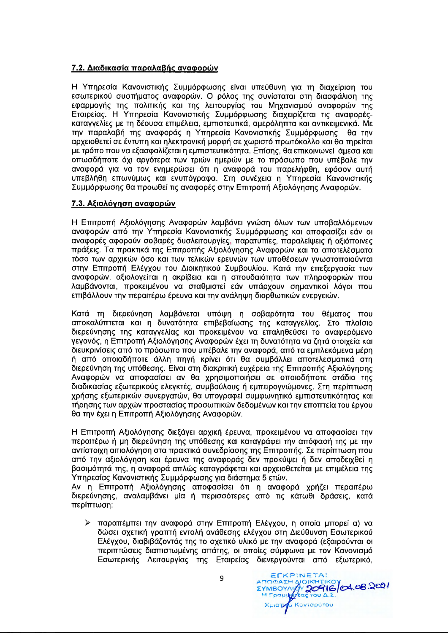# 7.2. Διαδικασία παραλαβής αναφορών

Η Υπηρεσία Κανονιστικής Συμμόρφωσης είναι υπεύθυνη για τη διαχείριση του εσωτερικού συστήματος αναφορών. Ο ρόλος της συνίσταται στη διασφάλιση της εφαρμογής της πολιτικής και της λειτουργίας του Μηχανισμού αναφορών της Εταιρείας. Η Υπηρεσία Κανονιστικής Συμμόρφωσης διαχειρίζεται τις αναφορέςκαταγγελίες με τη δέουσα επιμέλεια, εμπιστευτικά, αμερόληπτα και αντικειμενικά. Με την παραλαβή της αναφοράς η Υπηρεσία Κανονιστικής Συμμόρφωσης  $\theta\alpha$  Thy αρχειοθετεί σε έντυπη και ηλεκτρονική μορφή σε χωριστό πρωτόκολλο και θα τηρείται με τρόπο που να εξασφαλίζεται η εμπιστευτικότητα. Επίσης, θα επικοινωνεί άμεσα και οπωσδήποτε όχι αργότερα των τριών ημερών με το πρόσωπο που υπέβαλε την αναφορά για να τον ενημερώσει ότι η αναφορά του παρελήφθη, εφόσον αυτή υπεβλήθη επωνύμως και ενυπόγραφα. Στη συνέχεια η Υπηρεσία Κανονιστικής Συμμόρφωσης θα προωθεί τις αναφορές στην Επιτροπή Αξιολόγησης Αναφορών.

## 7.3. Αξιολόγηση αναφορών

Η Επιτροπή Αξιολόγησης Αναφορών λαμβάνει γνώση όλων των υποβαλλόμενων αναφορών από την Υπηρεσία Κανονιστικής Συμμόρφωσης και αποφασίζει εάν οι αναφορές αφορούν σοβαρές δυσλειτουργίες, παρατυπίες, παραλείψεις ή αξιόποινες πράξεις. Τα πρακτικά της Επιτροπής Αξιολόγησης Αναφορών και τα αποτελέσματα τόσο των αρχικών όσο και των τελικών ερευνών των υποθέσεων γνωστοποιούνται στην Επιτροπή Ελέγχου του Διοικητικού Συμβουλίου. Κατά την επεξεργασία των αναφορών, αξιολογείται η ακρίβεια και η σπουδαιότητα των πληροφοριών που λαμβάνονται, προκειμένου να σταθμιστεί εάν υπάρχουν σημαντικοί λόγοι που επιβάλλουν την περαιτέρω έρευνα και την ανάληψη διορθωτικών ενεργειών.

Κατά τη διερεύνηση λαμβάνεται υπόψη η σοβαρότητα του θέματος που αποκαλύπτεται και η δυνατότητα επιβεβαίωσης της καταγγελίας. Στο πλαίσιο διερεύνησης της καταγγελίας και προκειμένου να επαληθεύσει το αναφερόμενο γεγονός, η Επιτροπή Αξιολόγησης Αναφορών έχει τη δυνατότητα να ζητά στοιχεία και διευκρινίσεις από το πρόσωπο που υπέβαλε την αναφορά, από τα εμπλεκόμενα μέρη ή από οποιαδήποτε άλλη πηγή κρίνει ότι θα συμβάλλει αποτελεσματικά στη διερεύνηση της υπόθεσης. Είναι στη διακριτική ευχέρεια της Επιτροπής Αξιολόγησης Αναφορών να αποφασίσει αν θα χρησιμοποιήσει σε οποιοδήποτε στάδιο της διαδικασίας εξωτερικούς ελεγκτές, συμβούλους ή εμπειρογνώμονες. Στη περίπτωση χρήσης εξωτερικών συνεργατών, θα υπογραφεί συμφωνητικό εμπιστευτικότητας και τήρησης των αρχών προστασίας προσωπικών δεδομένων και την εποπτεία του έργου θα την έχει η Επιτροπή Αξιολόγησης Αναφορών.

Η Επιτροπή Αξιολόγησης διεξάγει αρχική έρευνα, προκειμένου να αποφασίσει την περαιτέρω ή μη διερεύνηση της υπόθεσης και καταγράφει την απόφασή της με την αντίστοιχη αιτιολόγηση στα πρακτικά συνεδρίασης της Επιτροπής. Σε περίπτωση που από την αξιολόγηση και έρευνα της αναφοράς δεν προκύψει ή δεν αποδειχθεί η βασιμότητά της, η αναφορά απλώς καταγράφεται και αρχειοθετείται με επιμέλεια της Υπηρεσίας Κανονιστικής Συμμόρφωσης για διάστημα 5 ετών.

Αν η Επιτροπή Αξιολόγησης αποφασίσει ότι η αναφορά χρήζει περαιτέρω διερεύνησης, αναλαμβάνει μία ή περισσότερες από τις κάτωθι δράσεις, κατά περίπτωση:

≻ παραπέμπει την αναφορά στην Επιτροπή Ελέγχου, η οποία μπορεί α) να δώσει σχετική γραπτή εντολή ανάθεσης ελέγχου στη Διεύθυνση Εσωτερικού Ελέγχου, διαβιβάζοντάς της το σχετικό υλικό με την αναφορά (εξαιρούνται οι περιπτώσεις διαπιστωμένης απάτης, οι οποίες σύμφωνα με τον Κανονισμό Εσωτερικής Λειτουργίας της Εταιρείας διενεργούνται από εξωτερικό,

ECKPINETA! ATTORAZH AIOIKHTIKOY<br>EYMBOYAIGY 20916 04.08.2021 Χριστιά Κονταρότου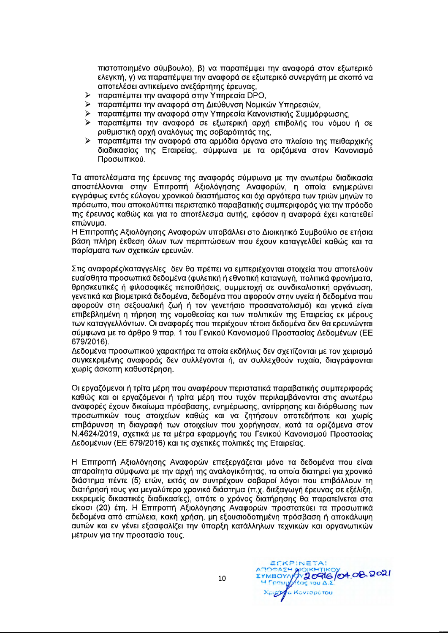πιστοποιημένο σύμβουλο), β) να παραπέμψει την αναφορά στον εξωτερικό ελεγκτή, γ) να παραπέμψει την αναφορά σε εξωτερικό συνεργάτη με σκοπό να αποτελέσει αντικείμενο ανεξάρτητης έρευνας,

- > παραπέμπει την αναφορά στην Υπηρεσία DPO,
- > παραπέμπει την αναφορά στη Διεύθυνση Νομικών Υπηρεσιών,
- > παραπέμπει την αναφορά στην Υπηρεσία Κανονιστικής Συμμόρφωσης.
- > παραπέμπει την αναφορά σε εξωτερική αρχή επιβολής του νόμου ή σε ρυθμιστική αρχή αναλόγως της σοβαρότητάς της,
- > παραπέμπει την αναφορά στα αρμόδια όργανα στο πλαίσιο της πειθαρχικής διαδικασίας της Εταιρείας, σύμφωνα με τα οριζόμενα στον Κανονισμό Προσωπικού.

Τα αποτελέσματα της έρευνας της αναφοράς σύμφωνα με την ανωτέρω διαδικασία αποστέλλονται στην Επιτροπή Αξιολόγησης Αναφορών, η οποία ενημερώνει εγγράφως εντός εύλογου χρονικού διαστήματος και όχι αργότερα των τριών μηνών το πρόσωπο, που αποκαλύπτει περιστατικό παραβατικής συμπεριφοράς για την πρόοδο της έρευνας καθώς και για το αποτέλεσμα αυτής, εφόσον η αναφορά έχει κατατεθεί επώνυμα.

Η Επιτροπής Αξιολόγησης Αναφορών υποβάλλει στο Διοικητικό Συμβούλιο σε ετήσια βάση πλήρη έκθεση όλων των περιπτώσεων που έχουν καταγγελθεί καθώς και τα πορίσματα των σχετικών ερευνών.

Στις αναφορές/καταγγελίες δεν θα πρέπει να εμπεριέχονται στοιχεία που αποτελούν ευαίσθητα προσωπικά δεδομένα (φυλετική ή εθνοτική καταγωγή, πολιτικά φρονήματα, θρησκευτικές ή φιλοσοφικές πεποιθήσεις, συμμετοχή σε συνδικαλιστική οργάνωση, γενετικά και βιομετρικά δεδομένα, δεδομένα που αφορούν στην υγεία ή δεδομένα που αφορούν στη σεξουαλική ζωή ή τον γενετήσιο προσανατολισμό) και γενικά είναι επιβεβλημένη η τήρηση της νομοθεσίας και των πολιτικών της Εταιρείας εκ μέρους των καταγγελλόντων. Οι αναφορές που περιέχουν τέτοια δεδομένα δεν θα ερευνώνται σύμφωνα με το άρθρο 9 παρ. 1 του Γενικού Κανονισμού Προστασίας Δεδομένων (ΕΕ 679/2016).

Δεδομένα προσωπικού χαρακτήρα τα οποία εκδήλως δεν σχετίζονται με τον χειρισμό συγκεκριμένης αναφοράς δεν συλλέγονται ή, αν συλλεχθούν τυχαία, διαγράφονται χωρίς άσκοπη καθυστέρηση.

Οι εργαζόμενοι ή τρίτα μέρη που αναφέρουν περιστατικά παραβατικής συμπεριφοράς καθώς και οι εργαζόμενοι ή τρίτα μέρη που τυχόν περιλαμβάνονται στις ανωτέρω αναφορές έχουν δικαίωμα πρόσβασης, ενημέρωσης, αντίρρησης και διόρθωσης των προσωπικών τους στοιχείων καθώς και να ζητήσουν οποτεδήποτε και χωρίς επιβάρυνση τη διαγραφή των στοιχείων που χορήγησαν, κατά τα οριζόμενα στον Ν.4624/2019, σχετικά με τα μέτρα εφαρμογής του Γενικού Κανονισμού Προστασίας Δεδομένων (ΕΕ 679/2016) και τις σχετικές πολιτικές της Εταιρείας.

Η Επιτροπή Αξιολόγησης Αναφορών επεξεργάζεται μόνο τα δεδομένα που είναι απαραίτητα σύμφωνα με την αρχή της αναλογικότητας, τα οποία διατηρεί για χρονικό διάστημα πέντε (5) ετών, εκτός αν συντρέχουν σοβαροί λόγοι που επιβάλλουν τη διατήρησή τους για μεγαλύτερο χρονικό διάστημα (π.χ. διεξαγωγή έρευνας σε εξέλιξη, εκκρεμείς δικαστικές διαδικασίες), οπότε ο χρόνος διατήρησης θα παρατείνεται στα είκοσι (20) έτη. Η Επιτροπή Αξιολόγησης Αναφορών προστατεύει τα προσωπικά δεδομένα από απώλεια, κακή χρήση, μη εξουσιοδοτημένη πρόσβαση ή αποκάλυψη αυτών και εν γένει εξασφαλίζει την ύπαρξη κατάλληλων τεχνικών και οργανωτικών μέτρων για την προστασία τους.

ECKPINETA! **TOOASH ALOKHTIKOY 04.08.2021** *<u>εας</u>* του Δ.Σ Xpigy a Kovrapórou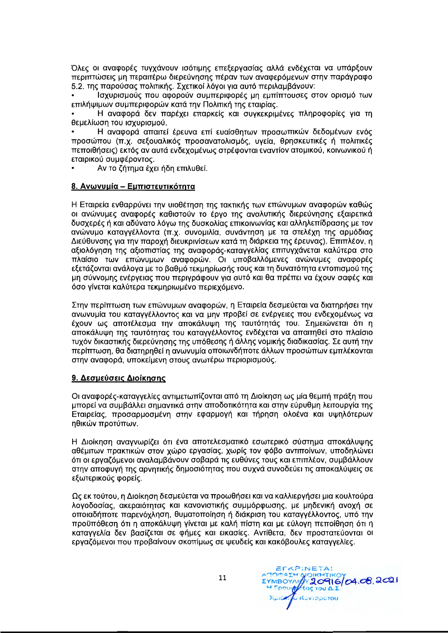Όλες οι αναφορές τυγχάνουν ισότιμης επεξεργασίας αλλά ενδέχεται να υπάρξουν περιπτώσεις μη περαιτέρω διερεύνησης πέραν των αναφερόμενων στην παράγραφο 5.2. της παρούσας πολιτικής. Σχετικοί λόγοι για αυτό περιλαμβάνουν:

Ισχυρισμούς που αφορούν συμπεριφορές μη εμπίπτουσες στον ορισμό των επιλήψιμων συμπεριφορών κατά την Πολιτική της εταιρίας.

Η αναφορά δεν παρέχει επαρκείς και συγκεκριμένες πληροφορίες για τη θεμελίωση του ισχυρισμού.

Η αναφορά απαιτεί έρευνα επί ευαίσθητων προσωπικών δεδομένων ενός προσώπου (π.χ. σεξουαλικός προσανατολισμός, υγεία, θρησκευτικές ή πολιτικές πεποιθήσεις) εκτός αν αυτά ενδεχομένως στρέφονται εναντίον ατομικού, κοινωνικού ή εταιρικού συμφέροντος.

Αν το ζήτημα έχει ήδη επιλυθεί.

#### 8. Ανωνυμία - Εμπιστευτικότητα

Η Εταιρεία ενθαρρύνει την υιοθέτηση της τακτικής των επώνυμων αναφορών καθώς οι ανώνυμες αναφορές καθιστούν το έργο της αναλυτικής διερεύνησης εξαιρετικά δυσχερές ή και αδύνατο λόγω της δυσκολίας επικοινωνίας και αλληλεπίδρασης με τον ανώνυμο καταγγέλλοντα (π.χ. συνομιλία, συνάντηση με τα στελέχη της αρμόδιας Διεύθυνσης για την παροχή διευκρινίσεων κατά τη διάρκεια της έρευνας). Επιπλέον, η αξιολόγηση της αξιοπιστίας της αναφοράς-καταγγελίας επιτυγχάνεται καλύτερα στο πλαίσιο των επώνυμων αναφορών. Οι υποβαλλόμενες ανώνυμες αναφορές εξετάζονται ανάλογα με το βαθμό τεκμηρίωσής τους και τη δυνατότητα εντοπισμού της μη σύννομης ενέργειας που περιγράφουν για αυτό και θα πρέπει να έχουν σαφές και όσο γίνεται καλύτερα τεκμηριωμένο περιεχόμενο.

Στην περίπτωση των επώνυμων αναφορών, η Εταιρεία δεσμεύεται να διατηρήσει την ανωνυμία του καταγγέλλοντος και να μην προβεί σε ενέργειες που ενδεχομένως να έχουν ως αποτέλεσμα την αποκάλυψη της ταυτότητάς του. Σημειώνεται ότι η αποκάλυψη της ταυτότητας του καταγγέλλοντος ενδέχεται να απαιτηθεί στο πλαίσιο τυχόν δικαστικής διερεύνησης της υπόθεσης ή άλλης νομικής διαδικασίας. Σε αυτή την περίπτωση, θα διατηρηθεί η ανωνυμία οποιωνδήποτε άλλων προσώπων εμπλέκονται στην αναφορά, υποκείμενη στους ανωτέρω περιορισμούς.

#### 9. Δεσμεύσεις Διοίκησης

Οι αναφορές-καταγγελίες αντιμετωπίζονται από τη Διοίκηση ως μία θεμιτή πράξη που μπορεί να συμβάλλει σημαντικά στην αποδοτικότητα και στην εύρυθμη λειτουργία της Εταιρείας, προσαρμοσμένη στην εφαρμογή και τήρηση ολοένα και υψηλότερων ηθικών προτύπων.

Η Διοίκηση αναγνωρίζει ότι ένα αποτελεσματικό εσωτερικό σύστημα αποκάλυψης αθέμιτων πρακτικών στον χώρο εργασίας, χωρίς τον φόβο αντιποίνων, υποδηλώνει ότι οι εργαζόμενοι αναλαμβάνουν σοβαρά τις ευθύνες τους και επιπλέον, συμβάλλουν στην αποφυγή της αρνητικής δημοσιότητας που συχνά συνοδεύει τις αποκαλύψεις σε εξωτερικούς φορείς.

Ως εκ τούτου, η Διοίκηση δεσμεύεται να προωθήσει και να καλλιεργήσει μια κουλτούρα λογοδοσίας, ακεραιότητας και κανονιστικής συμμόρφωσης, με μηδενική ανοχή σε οποιαδήποτε παρενόχληση, θυματοποίηση ή διάκριση του καταγγέλλοντος, υπό την προϋπόθεση ότι η αποκάλυψη γίνεται με καλή πίστη και με εύλογη πεποίθηση ότι η καταγγελία δεν βασίζεται σε φήμες και εικασίες. Αντίθετα, δεν προστατεύονται οι εργαζόμενοι που προβαίνουν σκοπίμως σε ψευδείς και κακόβουλες καταγγελίες.

11

EDKPINETA! ATTORIAL AND LAT **A** Kovraporou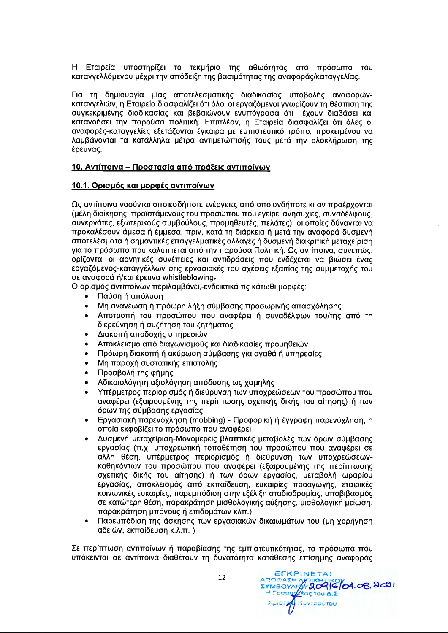H Εταιρεία υποστηρίζει το τεκμήριο της αθωότητας στο πρόσωπο του Kαταγγελλόμενου μέχρι την απόδειξη της βασιμότητας της αναφοράς/καταγγελίας.

Για τη δημιουργία μίας αποτελεσματικής διαδικασίας υποβολής αναφορών-Kαταγγελιών, η Εταιρεία διασφαλίζει ότι όλοι οι εργαζόμενοι γνωρίζουν τη θέσπιση της συγκεκριμένης διαδικασίας και βεβαιώνουν ενυπόγραφα ότι έχουν διαβάσει και Kατανοήσει την παρούσα πολιτική. Επιπλέον, η Εταιρεία διασφαλίζει ότι όλες οι aναφορές-καταγγελίες εξετάζονται έγκαιρα με εμπιστευτικό τρόπο, προκειμένου να λαμβάνονται τα κατάλληλα μέτρα αντιμετώπισής τους μετά την ολοκλήρωση της έρευνας.

#### 10. Αντίποινα – Προστασία από πράξεις αντιποίνων

#### **10.1. Op1au6c Km uopcetc; av1molvwv**

Ως αντίποινα νοούνται οποιεσδήποτε ενέργειες από οποιονδήποτε κι αν προέρχονται (μέλη διοίκησης, προϊστάμενους του προσώπου που εγείρει ανησυχίες, συναδέλφους, συνεργάτες, εξωτερικούς συμβούλους, προμηθευτές, πελάτες), οι οποίες δύνανται να προκαλέσουν άμεσα ή έμμεσα, πριν, κατά τη διάρκεια ή μετά την αναφορά δυσμενή aποτελέσματα ή σημαντικές επαγγελματικές αλλαγές ή δυσμενή διακριτική μεταχείριση για το πρόσωπο που καλύπτεται από την παρούσα Πολιτική. Ως αντίποινα, συνεπώς, opíζονται οι αρνητικές συνέπειες και αντιδράσεις που ενδέχεται να βιώσει ένας εργαζόμενος-καταγγέλλων στις εργασιακές του σχέσεις εξαιτίας της συμμετοχής του σε αναφορά ή/και έρευνα whistleblowing-

O ορισμός αντιποίνων περιλαμβάνει,-ενδεικτικά τις κάτωθι μορφές:

- Παύση ή απόλυση
- Μη ανανέωση ή πρόωρη λήξη σύμβασης προσωρινής απασχόλησης
- Αποτροπή του προσώπου που αναφέρει ή συναδέλφων του/της από τη διερεύνηση ή συζήτηση του ζητήματος
- Διακοπή αποδοχής υπηρεσιών
- Αποκλεισμό από διαγωνισμούς και διαδικασίες προμηθειών
- Πρόωρη διακοπή ή ακύρωση σύμβασης για αγαθά ή υπηρεσίες
- Μη παροχή συστατικής επιστολής
- Προσβολή της φήμης
- Αδικαιολόγητη αξιολόγηση απόδοσης ως χαμηλής
- Υπέρμετρος περιορισμός ή διεύρυνση των υποχρεώσεων του προσώπου που aναφέρει (εξαιρουμένης της περίπτωσης σχετικής δικής του αίτησης) ή των όρων της σύμβασης εργασίας
- Eργασιακή παρενόχληση (mobbing) Προφορική ή έγγραφη παρενόχληση, η οποία εκφοβίζει το πρόσωπο που αναφέρει
- Δυσμενή μεταχείριση-Μονομερείς βλαπτικές μεταβολές των όρων σύμβασης εργασίας (π.χ. υποχρεωτική τοποθέτηση του προσώπου που αναφέρει σε άλλη θέση, υπέρμετρος περιορισμός ή διεύρυνση των υποχρεώσεων**καθηκόντων του προσώπου που αναφέρει (εξαιρουμένης της περίπτωσης** σχετικής δικής του αίτησης) ή των όρων εργασίας, μεταβολή ωραρίου εργασίας, αποκλεισμός από εκπαίδευση, ευκαιρίες προαγωγής, εταιρικές κοινωνικές ευκαιρίες, παρεμπόδιση στην εξέλιξη σταδιοδρομίας, υποβιβασμός OE Κατώτερη θέση, παρακράτηση μισθολογικής αύξησης, μισθολογική μείωση, παρακράτηση μπόνους ή επιδομάτων κλπ.).
- Παρεμπόδιση της άσκησης των εργασιακών δικαιωμάτων του (μη χορήγηση αδειών, εκπαίδευση κ.λ.π.)

Σε περίπτωση αντιποίνων ή παραβίασης της εμπιστευτικότητας, τα πρόσωπα που Uπόκεινται σε αντίποινα διαθέτουν τη δυνατότητα κατάθεσης επίσημης αναφοράς

12

**ECKPINETA!** 

ATOMAZH ANDIKHTIKOV<br>EYMBOYAY 20916/04.06.8021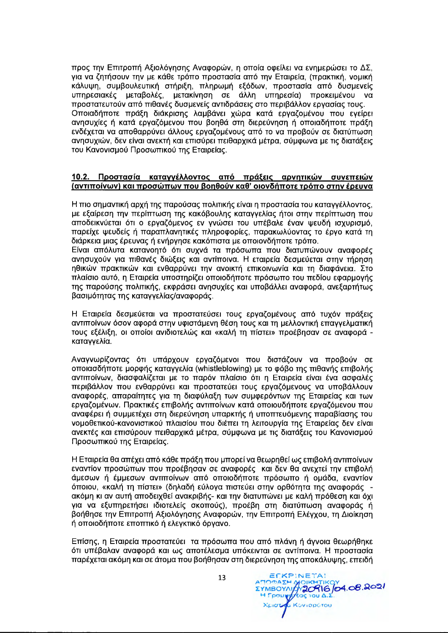προς την Επιτροπή Αξιολόγησης Αναφορών, η οποία οφείλει να ενημερώσει το ΔΣ, για να ζητήσουν την με κάθε τρόπο προστασία από την Εταιρεία, (πρακτική, νομική κάλυψη, συμβουλευτική στήριξη, πληρωμή εξόδων, προστασία από δυσμενείς υπηρεσιακές μεταβολές, μετακίνηση σε άλλη υπηρεσία) προκειμένου να προστατευτούν από πιθανές δυσμενείς αντιδράσεις στο περιβάλλον εργασίας τους. Οποιαδήποτε πράξη διάκρισης λαμβάνει χώρα κατά εργαζομένου που εγείρει ανησυχίες ή κατά εργαζόμενου που βοηθά στη διερεύνηση ή οποιαδήποτε πράξη ενδέχεται να αποθαρρύνει άλλους εργαζομένους από το να προβούν σε διατύπωση ανησυχιών, δεν είναι ανεκτή και επισύρει πειθαρχικά μέτρα, σύμφωνα με τις διατάξεις του Κανονισμού Προσωπικού της Εταιρείας.

#### Προστασία καταγγέλλοντος από πράξεις αρνητικών συνεπειών  $10.2.$ (αντιποίνων) και προσώπων που βοηθούν καθ' οιονδήποτε τρόπο στην έρευνα

Η πιο σημαντική αρχή της παρούσας πολιτικής είναι η προστασία του καταγγέλλοντος, με εξαίρεση την περίπτωση της κακόβουλης καταγγελίας ήτοι στην περίπτωση που αποδεικνύεται ότι ο εργαζόμενος εν γνώσει του υπέβαλε έναν ψευδή ισχυρισμό, παρείχε ψευδείς ή παραπλανητικές πληροφορίες, παρακωλύοντας το έργο κατά τη διάρκεια μιας έρευνας ή ενήργησε κακόπιστα με οποιονδήποτε τρόπο.

Είναι απόλυτα κατανοητό ότι συχνά τα πρόσωπα που διατυπώνουν αναφορές ανησυχούν για πιθανές διώξεις και αντίποινα. Η εταιρεία δεσμεύεται στην τήρηση ηθικών πρακτικών και ενθαρρύνει την ανοικτή επικοινωνία και τη διαφάνεια. Στο πλαίσιο αυτό, η Εταιρεία υποστηρίζει οποιοδήποτε πρόσωπο του πεδίου εφαρμογής της παρούσης πολιτικής, εκφράσει ανησυχίες και υποβάλλει αναφορά, ανεξαρτήτως βασιμότητας της καταγγελίας/αναφοράς.

Η Εταιρεία δεσμεύεται να προστατεύσει τους εργαζομένους από τυχόν πράξεις αντιποίνων όσον αφορά στην υφιστάμενη θέση τους και τη μελλοντική επαγγελματική τους εξέλιξη, οι οποίοι ανιδιοτελώς και «καλή τη πίστει» προέβησαν σε αναφορά καταγγελία.

Αναγνωρίζοντας ότι υπάρχουν εργαζόμενοι που διστάζουν να προβούν σε οποιασδήποτε μορφής καταγγελία (whistleblowing) με το φόβο της πιθανής επιβολής αντιποίνων, διασφαλίζεται με το παρόν πλαίσιο ότι η Εταιρεία είναι ένα ασφαλές περιβάλλον που ενθαρρύνει και προστατεύει τους εργαζόμενους να υποβάλλουν αναφορές, απαραίτητες για τη διαφύλαξη των συμφερόντων της Εταιρείας και των εργαζομένων. Πρακτικές επιβολής αντιποίνων κατά οποιουδήποτε εργαζόμενου που αναφέρει ή συμμετέχει στη διερεύνηση υπαρκτής ή υποπτευόμενης παραβίασης του νομοθετικού-κανονιστικού πλαισίου που διέπει τη λειτουργία της Εταιρείας δεν είναι ανεκτές και επισύρουν πειθαρχικά μέτρα, σύμφωνα με τις διατάξεις του Κανονισμού Προσωπικού της Εταιρείας.

Η Εταιρεία θα απέχει από κάθε πράξη που μπορεί να θεωρηθεί ως επιβολή αντιποίνων εναντίον προσώπων που προέβησαν σε αναφορές και δεν θα ανεχτεί την επιβολή άμεσων ή έμμεσων αντιποίνων από οποιοδήποτε πρόσωπο ή ομάδα, εναντίον όποιου, «καλή τη πίστει» (δηλαδή εύλογα πιστεύει στην ορθότητα της αναφοράς ακόμη κι αν αυτή αποδειχθεί ανακριβής- και την διατυπώνει με καλή πρόθεση και όχι για να εξυπηρετήσει ιδιοτελείς σκοπούς), προέβη στη διατύπωση αναφοράς ή βοήθησε την Επιτροπή Αξιολόγησης Αναφορών, την Επιτροπή Ελέγχου, τη Διοίκηση ή οποιοδήποτε εποπτικό ή ελεγκτικό όργανο.

Επίσης, η Εταιρεία προστατεύει τα πρόσωπα που από πλάνη ή άγνοια θεωρήθηκε ότι υπέβαλαν αναφορά και ως αποτέλεσμα υπόκεινται σε αντίποινα. Η προστασία παρέχεται ακόμη και σε άτομα που βοήθησαν στη διερεύνηση της αποκάλυψης, επειδή

> ECKPINETA! AMODA EH MOIKI EYMBOYALA 20916 04.08.2021 Χριστού Κονταρότου

13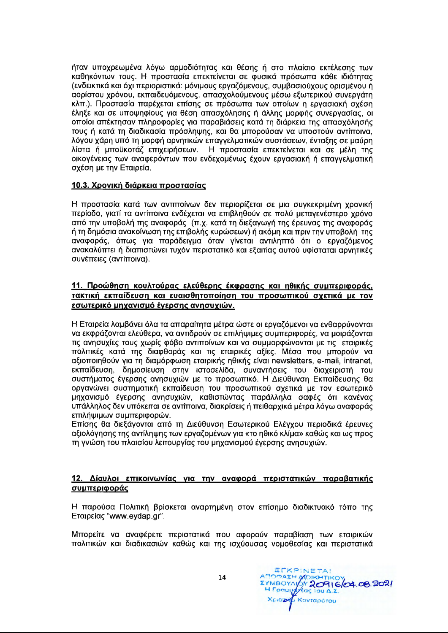ήταν υποχρεωμένα λόγω αρμοδιότητας και θέσης ή στο πλαίσιο εκτέλεσης των καθηκόντων τους. Η προστασία επεκτείνεται σε φυσικά πρόσωπα κάθε ιδιότητας (ενδεικτικά και όχι περιοριστικά: μόνιμους εργαζόμενους, συμβασιούχους ορισμένου ή αορίστου χρόνου, εκπαιδευόμενους, απασχολούμενους μέσω εξωτερικού συνεργάτη κλπ.). Προστασία παρέχεται επίσης σε πρόσωπα των οποίων η εργασιακή σχέση έληξε και σε υποψηφίους για θέση απασχόλησης ή άλλης μορφής συνεργασίας, οι οποίοι απέκτησαν πληροφορίες για παραβιάσεις κατά τη διάρκεια της απασχόλησής τους ή κατά τη διαδικασία πρόσληψης, και θα μπορούσαν να υποστούν αντίποινα, λόγου χάρη υπό τη μορφή αρνητικών επαγγελματικών συστάσεων, ένταξης σε μαύρη λίστα ή μποϋκοτάζ επιχειρήσεων. Η προστασία επεκτείνεται και σε μέλη της οικονένειας των αναφερόντων που ενδεχομένως έχουν εργασιακή ή επαγγελματική σχέση με την Εταιρεία.

#### 10.3. Χρονική διάρκεια προστασίας

Η προστασία κατά των αντιποίνων δεν περιορίζεται σε μια συγκεκριμένη χρονική περίοδο, γιατί τα αντίποινα ενδέχεται να επιβληθούν σε πολύ μεταγενέστερο χρόνο από την υποβολή της αναφοράς (π.χ. κατά τη διεξαγωγή της έρευνας της αναφοράς ή τη δημόσια ανακοίνωση της επιβολής κυρώσεων) ή ακόμη και πριν την υποβολή της αναφοράς, όπως για παράδειγμα όταν γίνεται αντιληπτό ότι ο εργαζόμενος ανακαλύπτει ή διαπιστώνει τυχόν περιστατικό και εξαιτίας αυτού υφίσταται αρνητικές συνέπειες (αντίποινα).

## 11. Προώθηση κουλτούρας ελεύθερης έκφρασης και ηθικής συμπεριφοράς, τακτική εκπαίδευση και ευαισθητοποίηση του προσωπικού σχετικά με τον εσωτερικό μηχανισμό έγερσης ανησυχιών.

Η Εταιρεία λαμβάνει όλα τα απαραίτητα μέτρα ώστε οι εργαζόμενοι να ενθαρρύνονται να εκφράζονται ελεύθερα, να αντιδρούν σε επιλήψιμες συμπεριφορές, να μοιράζονται τις ανησυχίες τους χωρίς φόβο αντιποίνων και να συμμορφώνονται με τις εταιρικές πολιτικές κατά της διαφθοράς και τις εταιρικές αξίες. Μέσα που μπορούν να αξιοποιηθούν για τη διαμόρφωση εταιρικής ηθικής είναι newsletters, e-mail, intranet, εκπαίδευση, δημοσίευση στην ιστοσελίδα, συναντήσεις του διαχειριστή του συστήματος έγερσης ανησυχιών με το προσωπικό. Η Διεύθυνση Εκπαίδευσης θα οργανώνει συστηματική εκπαίδευση του προσωπικού σχετικά με τον εσωτερικό μηχανισμό έγερσης ανησυχιών, καθιστώντας παράλληλα σαφές ότι κανένας υπάλληλος δεν υπόκειται σε αντίποινα, διακρίσεις ή πειθαρχικά μέτρα λόγω αναφοράς επιλήψιμων συμπεριφορών.

Επίσης θα διεξάγονται από τη Διεύθυνση Εσωτερικού Ελέγχου περιοδικά έρευνες αξιολόγησης της αντίληψης των εργαζομένων για «το ηθικό κλίμα» καθώς και ως προς τη γνώση του πλαισίου λειτουργίας του μηχανισμού έγερσης ανησυχιών.

## 12. Δίαυλοι επικοινωνίας για την αναφορά περιστατικών παραβατικής συμπεριφοράς

Η παρούσα Πολιτική βρίσκεται αναρτημένη στον επίσημο διαδικτυακό τόπο της Εταιρείας "www.eydap.gr".

Μπορείτε να αναφέρετε περιστατικά που αφορούν παραβίαση των εταιρικών πολιτικών και διαδικασιών καθώς και της ισχύουσας νομοθεσίας και περιστατικά

14

EFKPINETA! DOASH MOIKHTIKO EYMBOYADY 20916 04.08.2021 H Foauy ytas Tou A.E *<u>E Kovrapárou</u>* XCIOZA